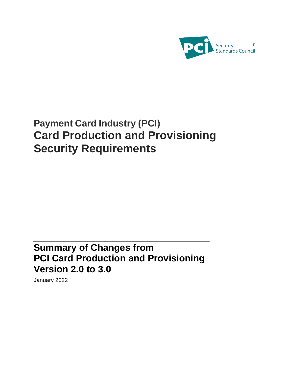

# **Payment Card Industry (PCI) Card Production and Provisioning Security Requirements**

## **Summary of Changes from PCI Card Production and Provisioning Version 2.0 to 3.0**

January 2022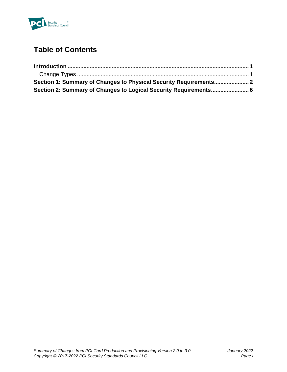

### **Table of Contents**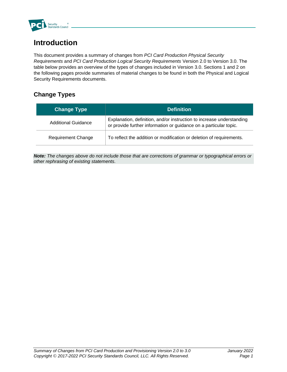

### **Introduction**

This document provides a summary of changes from *PCI Card Production Physical Security Requirements* and *PCI Card Production Logical Security Requirements* Version 2.0 to Version 3.0. The table below provides an overview of the types of changes included in Version 3.0. Sections 1 and 2 on the following pages provide summaries of material changes to be found in both the Physical and Logical Security Requirements documents.

#### **Change Types**

| <b>Change Type</b>        | <b>Definition</b>                                                                                                                          |
|---------------------------|--------------------------------------------------------------------------------------------------------------------------------------------|
| Additional Guidance       | Explanation, definition, and/or instruction to increase understanding<br>or provide further information or guidance on a particular topic. |
| <b>Requirement Change</b> | To reflect the addition or modification or deletion of requirements.                                                                       |

*Note: The changes above do not include those that are corrections of grammar or typographical errors or other rephrasing of existing statements.*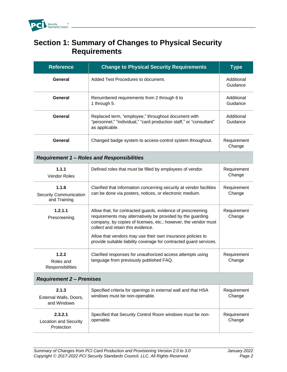

#### **Section 1: Summary of Changes to Physical Security Requirements**

| <b>Reference</b>                                       | <b>Change to Physical Security Requirements</b>                                                                                                                                                                                                                                                                                                                      | <b>Type</b>            |
|--------------------------------------------------------|----------------------------------------------------------------------------------------------------------------------------------------------------------------------------------------------------------------------------------------------------------------------------------------------------------------------------------------------------------------------|------------------------|
| General                                                | Added Test Procedures to document.                                                                                                                                                                                                                                                                                                                                   | Additional<br>Guidance |
| General                                                | Renumbered requirements from 2 through 6 to<br>1 through 5.                                                                                                                                                                                                                                                                                                          | Additional<br>Guidance |
| General                                                | Replaced term, "employee," throughout document with<br>"personnel," "individual," "card production staff," or "consultant"<br>as applicable.                                                                                                                                                                                                                         | Additional<br>Guidance |
| General                                                | Changed badge system to access-control system throughout.                                                                                                                                                                                                                                                                                                            | Requirement<br>Change  |
|                                                        | <b>Requirement 1 - Roles and Responsibilities</b>                                                                                                                                                                                                                                                                                                                    |                        |
| 1.1.1<br>Vendor Roles                                  | Defined roles that must be filled by employees of vendor.                                                                                                                                                                                                                                                                                                            | Requirement<br>Change  |
| 1.1.6<br><b>Security Communication</b><br>and Training | Clarified that information concerning security at vendor facilities<br>can be done via posters, notices, or electronic medium.                                                                                                                                                                                                                                       | Requirement<br>Change  |
| 1.2.1.1<br>Prescreening                                | Allow that, for contracted guards, evidence of prescreening<br>requirements may alternatively be provided by the guarding<br>company, by copies of licenses, etc.; however, the vendor must<br>collect and retain this evidence.<br>Allow that vendors may use their own insurance policies to<br>provide suitable liability coverage for contracted guard services. | Requirement<br>Change  |
| 1.2.2<br>Roles and<br>Responsibilities                 | Clarified responses for unauthorized access attempts using<br>language from previously published FAQ.                                                                                                                                                                                                                                                                | Requirement<br>Change  |
| <b>Requirement 2 - Premises</b>                        |                                                                                                                                                                                                                                                                                                                                                                      |                        |
| 2.1.3<br>External Walls, Doors,<br>and Windows         | Specified criteria for openings in external wall and that HSA<br>windows must be non-openable.                                                                                                                                                                                                                                                                       | Requirement<br>Change  |
| 2.3.2.1<br><b>Location and Security</b><br>Protection  | Specified that Security Control Room windows must be non-<br>openable.                                                                                                                                                                                                                                                                                               | Requirement<br>Change  |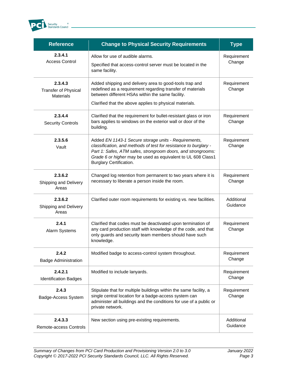

| <b>Reference</b>                                           | <b>Change to Physical Security Requirements</b>                                                                                                                                                                                                                                            | <b>Type</b>            |
|------------------------------------------------------------|--------------------------------------------------------------------------------------------------------------------------------------------------------------------------------------------------------------------------------------------------------------------------------------------|------------------------|
| 2.3.4.1<br><b>Access Control</b>                           | Allow for use of audible alarms.<br>Specified that access-control server must be located in the<br>same facility.                                                                                                                                                                          | Requirement<br>Change  |
| 2.3.4.3<br><b>Transfer of Physical</b><br><b>Materials</b> | Added shipping and delivery area to good-tools trap and<br>redefined as a requirement regarding transfer of materials<br>between different HSAs within the same facility.<br>Clarified that the above applies to physical materials.                                                       | Requirement<br>Change  |
|                                                            |                                                                                                                                                                                                                                                                                            |                        |
| 2.3.4.4<br><b>Security Controls</b>                        | Clarified that the requirement for bullet-resistant glass or iron<br>bars applies to windows on the exterior wall or door of the<br>building.                                                                                                                                              | Requirement<br>Change  |
| 2.3.5.6<br>Vault                                           | Added EN 1143-1 Secure storage units - Requirements,<br>classification, and methods of test for resistance to burglary -<br>Part 1: Safes, ATM safes, strongroom doors, and strongrooms:<br>Grade 6 or higher may be used as equivalent to UL 608 Class1<br><b>Burglary Certification.</b> | Requirement<br>Change  |
| 2.3.6.2<br>Shipping and Delivery<br>Areas                  | Changed log retention from permanent to two years where it is<br>necessary to liberate a person inside the room.                                                                                                                                                                           | Requirement<br>Change  |
| 2.3.6.2<br>Shipping and Delivery<br>Areas                  | Clarified outer room requirements for existing vs. new facilities.                                                                                                                                                                                                                         | Additional<br>Guidance |
| 2.4.1<br>Alarm Systems                                     | Clarified that codes must be deactivated upon termination of<br>any card production staff with knowledge of the code, and that<br>only guards and security team members should have such<br>knowledge.                                                                                     | Requirement<br>Change  |
| 2.4.2<br><b>Badge Administration</b>                       | Modified badge to access-control system throughout.                                                                                                                                                                                                                                        | Requirement<br>Change  |
| 2.4.2.1<br><b>Identification Badges</b>                    | Modified to include lanyards.                                                                                                                                                                                                                                                              | Requirement<br>Change  |
| 2.4.3<br>Badge-Access System                               | Stipulate that for multiple buildings within the same facility, a<br>single central location for a badge-access system can<br>administer all buildings and the conditions for use of a public or<br>private network.                                                                       | Requirement<br>Change  |
| 2.4.3.3<br>Remote-access Controls                          | New section using pre-existing requirements.                                                                                                                                                                                                                                               | Additional<br>Guidance |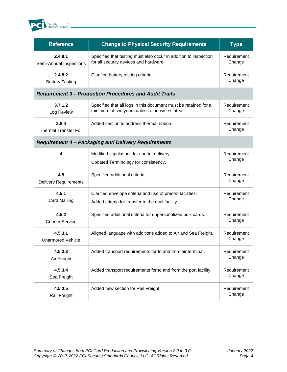

| <b>Reference</b>                      | <b>Change to Physical Security Requirements</b>                                                                  | <b>Type</b>           |
|---------------------------------------|------------------------------------------------------------------------------------------------------------------|-----------------------|
| 2.4.8.1<br>Semi-Annual Inspections    | Specified that testing must also occur in addition to inspection<br>for all security devices and hardware.       | Requirement<br>Change |
| 2.4.8.2<br><b>Battery Testing</b>     | Clarified battery testing criteria.                                                                              | Requirement<br>Change |
|                                       | <b>Requirement 3- Production Procedures and Audit Trails</b>                                                     |                       |
| 3.7.1.2<br>Log Review                 | Specified that all logs in this document must be retained for a<br>minimum of two years unless otherwise stated. | Requirement<br>Change |
| 3.8.4<br><b>Thermal Transfer Foil</b> | Added section to address thermal ribbon.                                                                         | Requirement<br>Change |
|                                       | <b>Requirement 4 - Packaging and Delivery Requirements</b>                                                       |                       |
| 4                                     | Modified stipulations for courier delivery.<br>Updated Terminology for consistency.                              | Requirement<br>Change |
| 4.5<br><b>Delivery Requirements</b>   | Specified additional criteria.                                                                                   | Requirement<br>Change |
| 4.5.1<br><b>Card Mailing</b>          | Clarified envelope criteria and use of presort facilities.<br>Added criteria for transfer to the mail facility.  | Requirement<br>Change |
| 4.5.2<br><b>Courier Service</b>       | Specified additional criteria for unpersonalized bulk cards.                                                     | Requirement<br>Change |
| 4.5.3.1<br><b>Unarmored Vehicle</b>   | Aligned language with additions added to Air and Sea Freight.                                                    | Requirement<br>Change |
| 4.5.3.3<br>Air Freight                | Added transport requirements for to and from air terminal.                                                       | Requirement<br>Change |
| 4.5.3.4<br>Sea Freight                | Added transport requirements for to and from the port facility.                                                  | Requirement<br>Change |
| 4.5.3.5<br>Rail Freight               | Added new section for Rail Freight.                                                                              | Requirement<br>Change |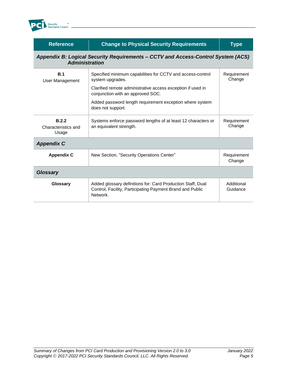

| <b>Reference</b>                                                                                          | <b>Change to Physical Security Requirements</b>                                                                                                                                    | Type                   |
|-----------------------------------------------------------------------------------------------------------|------------------------------------------------------------------------------------------------------------------------------------------------------------------------------------|------------------------|
| Appendix B: Logical Security Requirements - CCTV and Access-Control System (ACS)<br><b>Administration</b> |                                                                                                                                                                                    |                        |
| B.1<br>User Management                                                                                    | Specified minimum capabilities for CCTV and access-control<br>system upgrades.<br>Clarified remote administrative access exception if used in<br>conjunction with an approved SOC. | Requirement<br>Change  |
|                                                                                                           | Added password length requirement exception where system<br>does not support.                                                                                                      |                        |
| B.2.2<br>Characteristics and<br>Usage                                                                     | Systems enforce password lengths of at least 12 characters or<br>an equivalent strength.                                                                                           | Requirement<br>Change  |
| <b>Appendix C</b>                                                                                         |                                                                                                                                                                                    |                        |
| <b>Appendix C</b>                                                                                         | New Section, "Security Operations Center"                                                                                                                                          | Requirement<br>Change  |
| <b>Glossary</b>                                                                                           |                                                                                                                                                                                    |                        |
| Glossary                                                                                                  | Added glossary definitions for: Card Production Staff, Dual<br>Control, Facility, Participating Payment Brand and Public<br>Network.                                               | Additional<br>Guidance |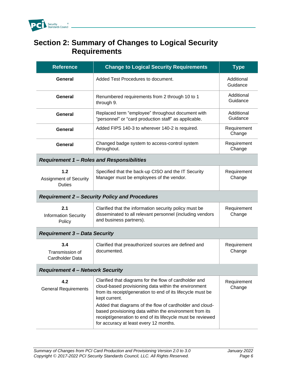

#### **Section 2: Summary of Changes to Logical Security Requirements**

| <b>Reference</b>                                      | <b>Change to Logical Security Requirements</b>                                                                                                                                                                                                                                                                                                                                                                                 | <b>Type</b>            |  |
|-------------------------------------------------------|--------------------------------------------------------------------------------------------------------------------------------------------------------------------------------------------------------------------------------------------------------------------------------------------------------------------------------------------------------------------------------------------------------------------------------|------------------------|--|
| General                                               | Added Test Procedures to document.                                                                                                                                                                                                                                                                                                                                                                                             | Additional<br>Guidance |  |
| General                                               | Renumbered requirements from 2 through 10 to 1<br>through 9.                                                                                                                                                                                                                                                                                                                                                                   | Additional<br>Guidance |  |
| General                                               | Replaced term "employee" throughout document with<br>"personnel" or "card production staff" as applicable.                                                                                                                                                                                                                                                                                                                     | Additional<br>Guidance |  |
| General                                               | Added FIPS 140-3 to wherever 140-2 is required.                                                                                                                                                                                                                                                                                                                                                                                | Requirement<br>Change  |  |
| General                                               | Changed badge system to access-control system<br>throughout.                                                                                                                                                                                                                                                                                                                                                                   | Requirement<br>Change  |  |
|                                                       | <b>Requirement 1 - Roles and Responsibilities</b>                                                                                                                                                                                                                                                                                                                                                                              |                        |  |
| 1.2<br><b>Assignment of Security</b><br><b>Duties</b> | Specified that the back-up CISO and the IT Security<br>Manager must be employees of the vendor.                                                                                                                                                                                                                                                                                                                                | Requirement<br>Change  |  |
| <b>Requirement 2 - Security Policy and Procedures</b> |                                                                                                                                                                                                                                                                                                                                                                                                                                |                        |  |
| 2.1<br><b>Information Security</b><br>Policy          | Clarified that the information security policy must be<br>disseminated to all relevant personnel (including vendors<br>and business partners).                                                                                                                                                                                                                                                                                 | Requirement<br>Change  |  |
| <b>Requirement 3 - Data Security</b>                  |                                                                                                                                                                                                                                                                                                                                                                                                                                |                        |  |
| 3.4<br>Transmission of<br>Cardholder Data             | Clarified that preauthorized sources are defined and<br>documented.                                                                                                                                                                                                                                                                                                                                                            | Requirement<br>Change  |  |
| <b>Requirement 4 - Network Security</b>               |                                                                                                                                                                                                                                                                                                                                                                                                                                |                        |  |
| 4.2<br><b>General Requirements</b>                    | Clarified that diagrams for the flow of cardholder and<br>cloud-based provisioning data within the environment<br>from its receipt/generation to end of its lifecycle must be<br>kept current.<br>Added that diagrams of the flow of cardholder and cloud-<br>based provisioning data within the environment from its<br>receipt/generation to end of its lifecycle must be reviewed<br>for accuracy at least every 12 months. | Requirement<br>Change  |  |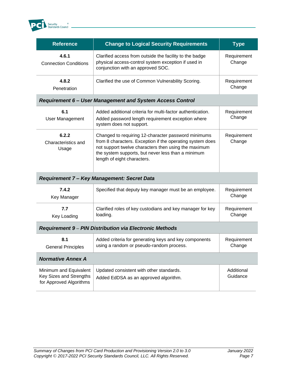

| <b>Reference</b>                                                             | <b>Change to Logical Security Requirements</b>                                                                                                                                                                                                                | <b>Type</b>            |
|------------------------------------------------------------------------------|---------------------------------------------------------------------------------------------------------------------------------------------------------------------------------------------------------------------------------------------------------------|------------------------|
| 4.6.1<br><b>Connection Conditions</b>                                        | Clarified access from outside the facility to the badge<br>physical access-control system exception if used in<br>conjunction with an approved SOC.                                                                                                           | Requirement<br>Change  |
| 4.8.2<br>Penetration                                                         | Clarified the use of Common Vulnerability Scoring.                                                                                                                                                                                                            | Requirement<br>Change  |
|                                                                              | <b>Requirement 6 - User Management and System Access Control</b>                                                                                                                                                                                              |                        |
| 6.1<br><b>User Management</b>                                                | Added additional criteria for multi-factor authentication.<br>Added password length requirement exception where<br>system does not support.                                                                                                                   | Requirement<br>Change  |
| 6.2.2<br>Characteristics and<br>Usage                                        | Changed to requiring 12-character password minimums<br>from 8 characters. Exception if the operating system does<br>not support twelve characters then using the maximum<br>the system supports, but never less than a minimum<br>length of eight characters. | Requirement<br>Change  |
|                                                                              | Requirement 7 - Key Management: Secret Data                                                                                                                                                                                                                   |                        |
| 7.4.2<br>Key Manager                                                         | Specified that deputy key manager must be an employee.                                                                                                                                                                                                        | Requirement<br>Change  |
| 7.7<br>Key Loading                                                           | Clarified roles of key custodians and key manager for key<br>loading.                                                                                                                                                                                         | Requirement<br>Change  |
| <b>Requirement 9 - PIN Distribution via Electronic Methods</b>               |                                                                                                                                                                                                                                                               |                        |
| 8.1<br><b>General Principles</b>                                             | Added criteria for generating keys and key components<br>using a random or pseudo-random process.                                                                                                                                                             | Requirement<br>Change  |
| <b>Normative Annex A</b>                                                     |                                                                                                                                                                                                                                                               |                        |
| Minimum and Equivalent<br>Key Sizes and Strengths<br>for Approved Algorithms | Updated consistent with other standards.<br>Added EdDSA as an approved algorithm.                                                                                                                                                                             | Additional<br>Guidance |